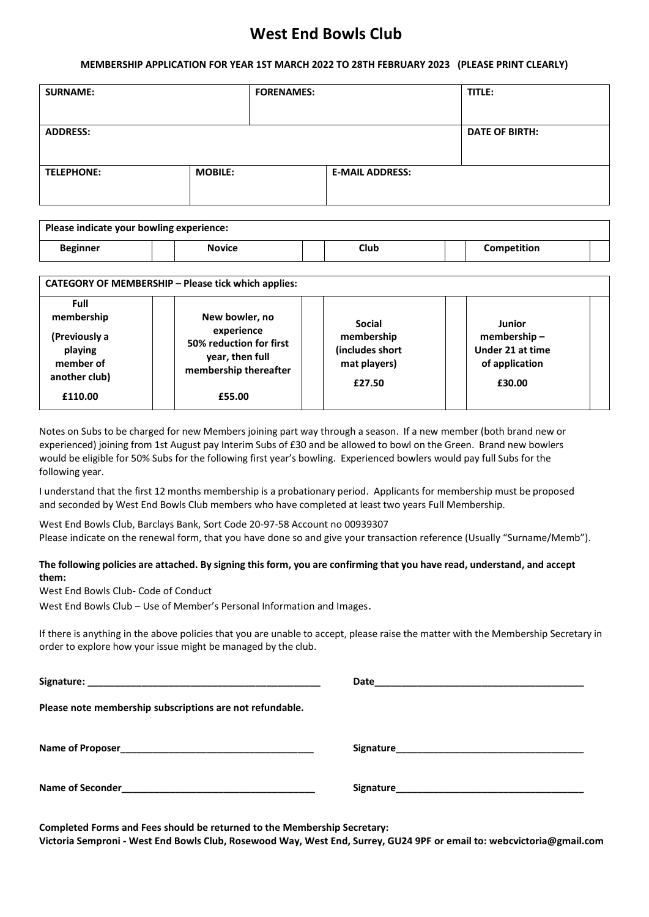# **West End Bowls Club**

#### **MEMBERSHIP APPLICATION FOR YEAR 1ST MARCH 2022 TO 28TH FEBRUARY 2023 (PLEASE PRINT CLEARLY)**

| <b>SURNAME:</b>   |                | <b>FORENAMES:</b> |                        | TITLE:                |
|-------------------|----------------|-------------------|------------------------|-----------------------|
| <b>ADDRESS:</b>   |                |                   |                        | <b>DATE OF BIRTH:</b> |
| <b>TELEPHONE:</b> | <b>MOBILE:</b> |                   | <b>E-MAIL ADDRESS:</b> |                       |

| Please indicate your bowling experience: |               |  |      |  |             |  |
|------------------------------------------|---------------|--|------|--|-------------|--|
| Beginner                                 | <b>Novice</b> |  | Club |  | Competition |  |

| <b>CATEGORY OF MEMBERSHIP - Please tick which applies:</b> |                                                                                   |                                                         |                                                             |  |  |
|------------------------------------------------------------|-----------------------------------------------------------------------------------|---------------------------------------------------------|-------------------------------------------------------------|--|--|
| <b>Full</b><br>membership                                  | New bowler, no                                                                    | <b>Social</b>                                           | Junior                                                      |  |  |
| (Previously a<br>playing<br>member of<br>another club)     | experience<br>50% reduction for first<br>year, then full<br>membership thereafter | membership<br>(includes short<br>mat players)<br>£27.50 | membership-<br>Under 21 at time<br>of application<br>£30.00 |  |  |
| £110.00                                                    | £55.00                                                                            |                                                         |                                                             |  |  |

Notes on Subs to be charged for new Members joining part way through a season. If a new member (both brand new or experienced) joining from 1st August pay Interim Subs of £30 and be allowed to bowl on the Green. Brand new bowlers would be eligible for 50% Subs for the following first year's bowling. Experienced bowlers would pay full Subs for the following year.

I understand that the first 12 months membership is a probationary period. Applicants for membership must be proposed and seconded by West End Bowls Club members who have completed at least two years Full Membership.

West End Bowls Club, Barclays Bank, Sort Code 20-97-58 Account no 00939307 Please indicate on the renewal form, that you have done so and give your transaction reference (Usually "Surname/Memb").

### **The following policies are attached. By signing this form, you are confirming that you have read, understand, and accept them:**

West End Bowls Club- Code of Conduct

West End Bowls Club – Use of Member's Personal Information and Images.

If there is anything in the above policies that you are unable to accept, please raise the matter with the Membership Secretary in order to explore how your issue might be managed by the club.

| Please note membership subscriptions are not refundable. |                                                                                                                                                                                                                               |
|----------------------------------------------------------|-------------------------------------------------------------------------------------------------------------------------------------------------------------------------------------------------------------------------------|
|                                                          |                                                                                                                                                                                                                               |
|                                                          | Signature and the state of the state of the state of the state of the state of the state of the state of the state of the state of the state of the state of the state of the state of the state of the state of the state of |

**Completed Forms and Fees should be returned to the Membership Secretary: Victoria Semproni - West End Bowls Club, Rosewood Way, West End, Surrey, GU24 9PF or email to: webcvictoria@gmail.com**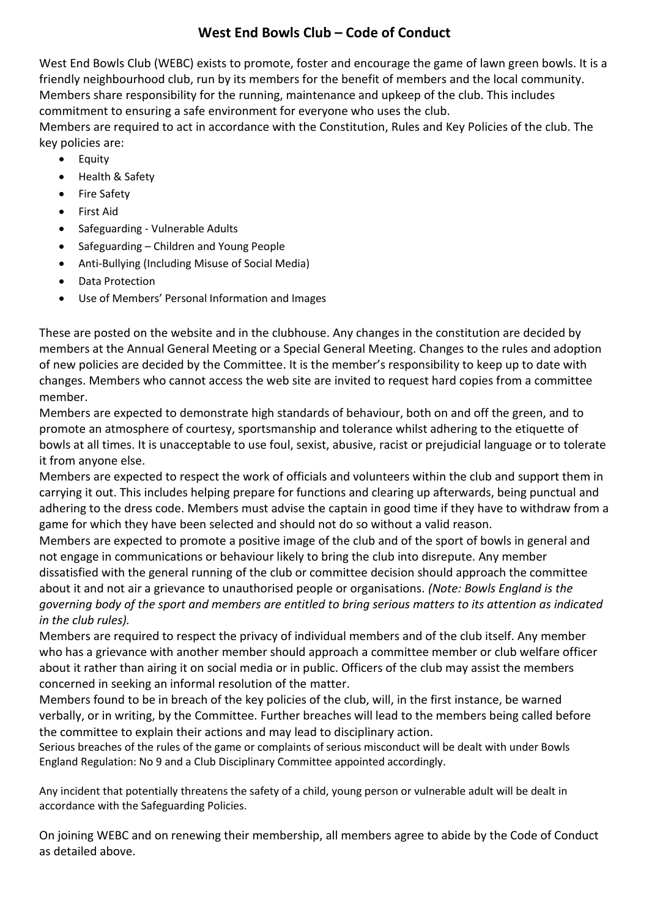## **West End Bowls Club – Code of Conduct**

West End Bowls Club (WEBC) exists to promote, foster and encourage the game of lawn green bowls. It is a friendly neighbourhood club, run by its members for the benefit of members and the local community. Members share responsibility for the running, maintenance and upkeep of the club. This includes commitment to ensuring a safe environment for everyone who uses the club. Members are required to act in accordance with the Constitution, Rules and Key Policies of the club. The key policies are:

- Equity
- Health & Safety
- Fire Safety
- First Aid
- Safeguarding Vulnerable Adults
- Safeguarding Children and Young People
- Anti-Bullying (Including Misuse of Social Media)
- Data Protection
- Use of Members' Personal Information and Images

These are posted on the website and in the clubhouse. Any changes in the constitution are decided by members at the Annual General Meeting or a Special General Meeting. Changes to the rules and adoption of new policies are decided by the Committee. It is the member's responsibility to keep up to date with changes. Members who cannot access the web site are invited to request hard copies from a committee member.

Members are expected to demonstrate high standards of behaviour, both on and off the green, and to promote an atmosphere of courtesy, sportsmanship and tolerance whilst adhering to the etiquette of bowls at all times. It is unacceptable to use foul, sexist, abusive, racist or prejudicial language or to tolerate it from anyone else.

Members are expected to respect the work of officials and volunteers within the club and support them in carrying it out. This includes helping prepare for functions and clearing up afterwards, being punctual and adhering to the dress code. Members must advise the captain in good time if they have to withdraw from a game for which they have been selected and should not do so without a valid reason.

Members are expected to promote a positive image of the club and of the sport of bowls in general and not engage in communications or behaviour likely to bring the club into disrepute. Any member dissatisfied with the general running of the club or committee decision should approach the committee about it and not air a grievance to unauthorised people or organisations*. (Note: Bowls England is the governing body of the sport and members are entitled to bring serious matters to its attention as indicated in the club rules).*

Members are required to respect the privacy of individual members and of the club itself. Any member who has a grievance with another member should approach a committee member or club welfare officer about it rather than airing it on social media or in public. Officers of the club may assist the members concerned in seeking an informal resolution of the matter.

Members found to be in breach of the key policies of the club, will, in the first instance, be warned verbally, or in writing, by the Committee. Further breaches will lead to the members being called before the committee to explain their actions and may lead to disciplinary action.

Serious breaches of the rules of the game or complaints of serious misconduct will be dealt with under Bowls England Regulation: No 9 and a Club Disciplinary Committee appointed accordingly.

Any incident that potentially threatens the safety of a child, young person or vulnerable adult will be dealt in accordance with the Safeguarding Policies.

On joining WEBC and on renewing their membership, all members agree to abide by the Code of Conduct as detailed above.